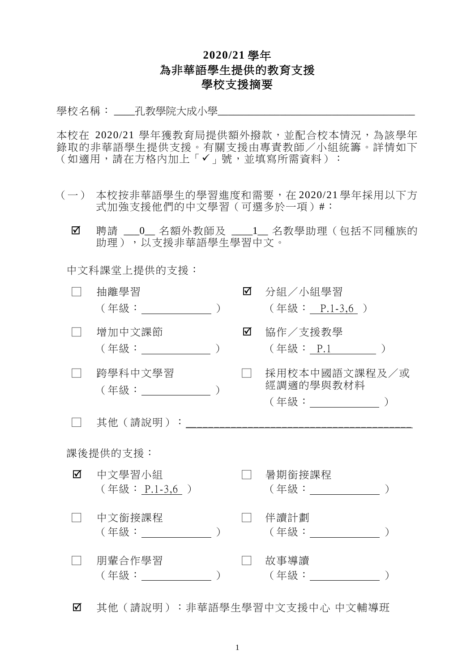## **2020/21** 學年 為非華語學生提供的教育支援 學校支援摘要

學校名稱: \_\_\_\_孔教學院大成小學\_\_\_\_\_\_\_\_\_\_\_\_\_\_

本校在 2020/21 學年獲教育局提供額外撥款,並配合校本情況,為該學年 錄取的非華語學生提供支援。有關支援由專責教師/小組統籌。詳情如下 (如適用,請在方格內加上「✓」號,並填寫所需資料)︰

- (一) 本校按非華語學生的學習進度和需要,在 2020/21 學年採用以下方 式加強支援他們的中文學習(可選多於一項)#:
	- Ø 聘請 \_\_0\_ 名額外教師及 \_\_\_1\_ 名教學助理(包括不同種族的 助理),以支援非華語學生學習中文。

中文科課堂上提供的支援:

|          | 抽離學習<br>(年級: ) しゅうしょう        |  | ☑ | 分組/小組學習<br>(年級: P.1-3,6)                             |  |  |
|----------|------------------------------|--|---|------------------------------------------------------|--|--|
|          | 增加中文課節                       |  | ☑ | 協作/支援教學<br>(年級: P <u>.1__</u> ______                 |  |  |
|          | 跨學科中文學習                      |  |   | 採用校本中國語文課程及/或<br>經調適的學與教材料<br>(年級:_________________) |  |  |
|          | 其他 (請說明):                    |  |   |                                                      |  |  |
| 課後提供的支援: |                              |  |   |                                                      |  |  |
| ☑        | 中文學習小組<br>(年級: P.1-3,6 )     |  |   | 暑期銜接課程<br>(年級: )                                     |  |  |
|          | 中文銜接課程<br>( 年級 :           ) |  |   | 伴讀計劃<br>(年級:                                         |  |  |
|          | 朋輩合作學習<br>(年級:               |  |   | 故事導讀<br>(年級:                                         |  |  |

其他(請說明):非華語學生學習中文支援中心 中文輔導班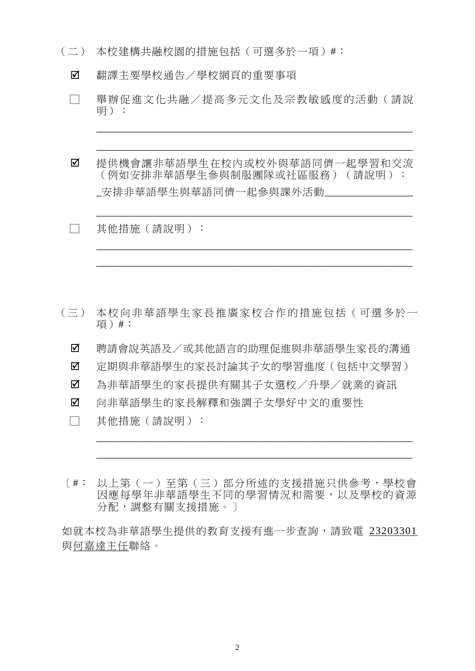- (二) 本校建構共融校園的措施包括(可選多於一項)#︰
	- 翻譯主要學校通告/學校網頁的重要事項
	- □ 舉辦促進文化共融/提高多元文化及宗教敏感度的活動(請說 明):

\_\_\_\_\_\_\_\_\_\_\_\_\_\_\_\_\_\_\_\_\_\_\_\_\_\_\_\_\_\_\_\_\_\_\_\_\_\_\_\_\_\_\_\_\_\_\_\_\_\_\_\_\_\_\_\_\_\_\_\_\_

\_\_\_\_\_\_\_\_\_\_\_\_\_\_\_\_\_\_\_\_\_\_\_\_\_\_\_\_\_\_\_\_\_\_\_\_\_\_\_\_\_\_\_\_\_\_\_\_\_\_\_\_\_\_\_\_\_\_\_\_\_

\_\_\_\_\_\_\_\_\_\_\_\_\_\_\_\_\_\_\_\_\_\_\_\_\_\_\_\_\_\_\_\_\_\_\_\_\_\_\_\_\_\_\_\_\_\_\_\_\_\_\_\_\_\_\_\_\_\_\_\_\_

\_\_\_\_\_\_\_\_\_\_\_\_\_\_\_\_\_\_\_\_\_\_\_\_\_\_\_\_\_\_\_\_\_\_\_\_\_\_\_\_\_\_\_\_\_\_\_\_\_\_\_\_\_\_\_\_\_\_\_\_\_

\_\_\_\_\_\_\_\_\_\_\_\_\_\_\_\_\_\_\_\_\_\_\_\_\_\_\_\_\_\_\_\_\_\_\_\_\_\_\_\_\_\_\_\_\_\_\_\_\_\_\_\_\_\_\_\_\_\_\_\_\_

- 提供機會讓非華語學生在校內或校外與華語同儕一起學習和交流 (例如安排非華語學生參與制服團隊或社區服務)(請說明): 安排非華語學生與華語同儕一起參與課外活動\_\_\_\_\_\_\_
- □ 其他措施(請說明):

- (三) 本校向非華語學生家長推廣家校合作的措施包括(可選多於一 項)#:
	- 聘請會說英語及/或其他語言的助理促進與非華語學生家長的溝通
	- 定期與非華語學生的家長討論其子女的學習進度(包括中文學習)
	- 為非華語學生的家長提供有關其子女選校/升學/就業的資訊
	- 向非華語學生的家長解釋和強調子女學好中文的重要性
	- □ 其他措施(請說明):
- [#: 以上第(一)至第(三)部分所述的支援措施只供參考,學校會 因應每學年非華語學生不同的學習情況和需要,以及學校的資源 分配,調整有關支援措施。]

\_\_\_\_\_\_\_\_\_\_\_\_\_\_\_\_\_\_\_\_\_\_\_\_\_\_\_\_\_\_\_\_\_\_\_\_\_\_\_\_\_\_\_\_\_\_\_\_\_\_\_\_\_\_\_\_\_\_\_\_\_

\_\_\_\_\_\_\_\_\_\_\_\_\_\_\_\_\_\_\_\_\_\_\_\_\_\_\_\_\_\_\_\_\_\_\_\_\_\_\_\_\_\_\_\_\_\_\_\_\_\_\_\_\_\_\_\_\_\_\_\_\_

如就本校為非華語學生提供的教育支援有進一步查詢,請致電 23203301 與何嘉達主任聯絡。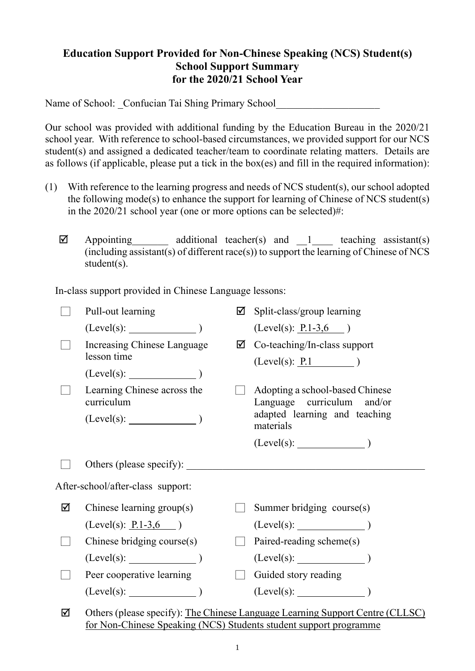## **Education Support Provided for Non-Chinese Speaking (NCS) Student(s) School Support Summary for the 2020/21 School Year**

Name of School: Confucian Tai Shing Primary School

Our school was provided with additional funding by the Education Bureau in the 2020/21 school year. With reference to school-based circumstances, we provided support for our NCS student(s) and assigned a dedicated teacher/team to coordinate relating matters. Details are as follows (if applicable, please put a tick in the box(es) and fill in the required information):

- (1) With reference to the learning progress and needs of NCS student(s), our school adopted the following mode(s) to enhance the support for learning of Chinese of NCS student(s) in the 2020/21 school year (one or more options can be selected)#:
	- $\boxtimes$  Appointing additional teacher(s) and 1 teaching assistant(s)  $(i\text{ including assistant(s)}\text{ of different race(s)})$  to support the learning of Chinese of NCS student(s).

In-class support provided in Chinese Language lessons:

|   | Pull-out learning                                                 | ☑ | Split-class/group learning                                                    |  |  |
|---|-------------------------------------------------------------------|---|-------------------------------------------------------------------------------|--|--|
|   | (Level(s):                                                        |   | $(Level(s): \underline{P.1-3,6})$                                             |  |  |
|   | Increasing Chinese Language                                       | ☑ | Co-teaching/In-class support                                                  |  |  |
|   | lesson time                                                       |   | (Level(s): P.1)                                                               |  |  |
|   | $(Level(s):$ $)$                                                  |   |                                                                               |  |  |
|   | Learning Chinese across the<br>curriculum                         |   | Adopting a school-based Chinese<br>Language curriculum and/or                 |  |  |
|   | $(Level(s):$ $)$                                                  |   | adapted learning and teaching<br>materials                                    |  |  |
|   |                                                                   |   | $(Level(s):$ $)$                                                              |  |  |
|   |                                                                   |   |                                                                               |  |  |
|   | After-school/after-class support:                                 |   |                                                                               |  |  |
| ☑ | Chinese learning $group(s)$                                       |   | Summer bridging course(s)                                                     |  |  |
|   | $(Level(s): \underline{P.1-3,6})$                                 |   |                                                                               |  |  |
|   | Chinese bridging course(s)                                        |   | Paired-reading scheme(s)                                                      |  |  |
|   | $(Level(s):$ $)$                                                  |   |                                                                               |  |  |
|   | Peer cooperative learning                                         |   | Guided story reading                                                          |  |  |
|   | $(Level(s):$ (Level(s): )                                         |   | (Level(s):                                                                    |  |  |
| ☑ |                                                                   |   | Others (please specify): The Chinese Language Learning Support Centre (CLLSC) |  |  |
|   | for Non-Chinese Speaking (NCS) Students student support programme |   |                                                                               |  |  |